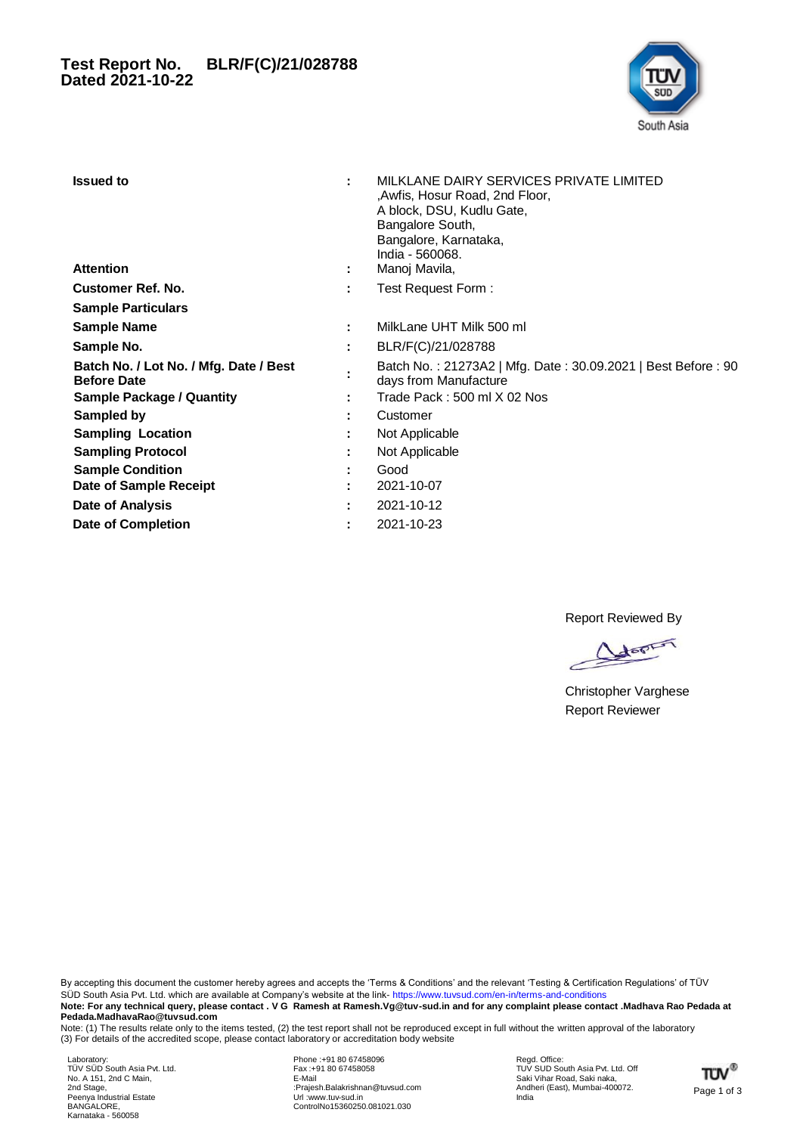## **Test Report No. BLR/F(C)/21/028788 Test Report No.<br>Dated 2021-10-22**



| <b>Issued to</b>                                             | MILKLANE DAIRY SERVICES PRIVATE LIMITED<br>, Awfis, Hosur Road, 2nd Floor,<br>A block, DSU, Kudlu Gate,<br>Bangalore South,<br>Bangalore, Karnataka,<br>India - 560068. |
|--------------------------------------------------------------|-------------------------------------------------------------------------------------------------------------------------------------------------------------------------|
| <b>Attention</b>                                             | Manoj Mavila,                                                                                                                                                           |
| Customer Ref. No.                                            | Test Request Form:                                                                                                                                                      |
| <b>Sample Particulars</b>                                    |                                                                                                                                                                         |
| <b>Sample Name</b>                                           | MilkLane UHT Milk 500 ml                                                                                                                                                |
| Sample No.                                                   | BLR/F(C)/21/028788                                                                                                                                                      |
| Batch No. / Lot No. / Mfg. Date / Best<br><b>Before Date</b> | Batch No.: 21273A2   Mfg. Date: 30.09.2021   Best Before: 90<br>days from Manufacture                                                                                   |
| <b>Sample Package / Quantity</b>                             | Trade Pack: 500 ml X 02 Nos                                                                                                                                             |
| Sampled by                                                   | Customer                                                                                                                                                                |
| <b>Sampling Location</b>                                     | Not Applicable                                                                                                                                                          |
| <b>Sampling Protocol</b>                                     | Not Applicable                                                                                                                                                          |
| <b>Sample Condition</b>                                      | Good                                                                                                                                                                    |
| Date of Sample Receipt                                       | 2021-10-07                                                                                                                                                              |
| Date of Analysis                                             | 2021-10-12                                                                                                                                                              |
| Date of Completion                                           | 2021-10-23                                                                                                                                                              |

Report Reviewed By

**HOPET** 

Christopher Varghese Report Reviewer

By accepting this document the customer hereby agrees and accepts the 'Terms & Conditions' and the relevant 'Testing & Certification Regulations' of TÜV SÜD South Asia Pvt. Ltd. which are available at Company's website at the link- https://www.tuvsud.com/en-in/terms-and-conditions **Note: For any technical query, please contact . V G Ramesh at Ramesh.Vg@tuv-sud.in and for any complaint please contact .Madhava Rao Pedada at Pedada.MadhavaRao@tuvsud.com**

Note: (1) The results relate only to the items tested, (2) the test report shall not be reproduced except in full without the written approval of the laboratory (3) For details of the accredited scope, please contact laboratory or accreditation body website

Laboratory: TÜV SÜD South Asia Pvt. Ltd. No. A 151, 2nd C Main, 2nd Stage, Peenya Industrial Estate BANGALORE, Karnataka - 560058

Phone :+91 80 67458096 Fax :+91 80 67458058 E-Mail :Prajesh.Balakrishnan@tuvsud.com Url :www.tuv-sud.in ControlNo15360250.081021.030 Regd. Office: TUV SUD South Asia Pvt. Ltd. Off Saki Vihar Road, Saki naka, Andheri (East), Mumbai-400072. India Page 1 of 3

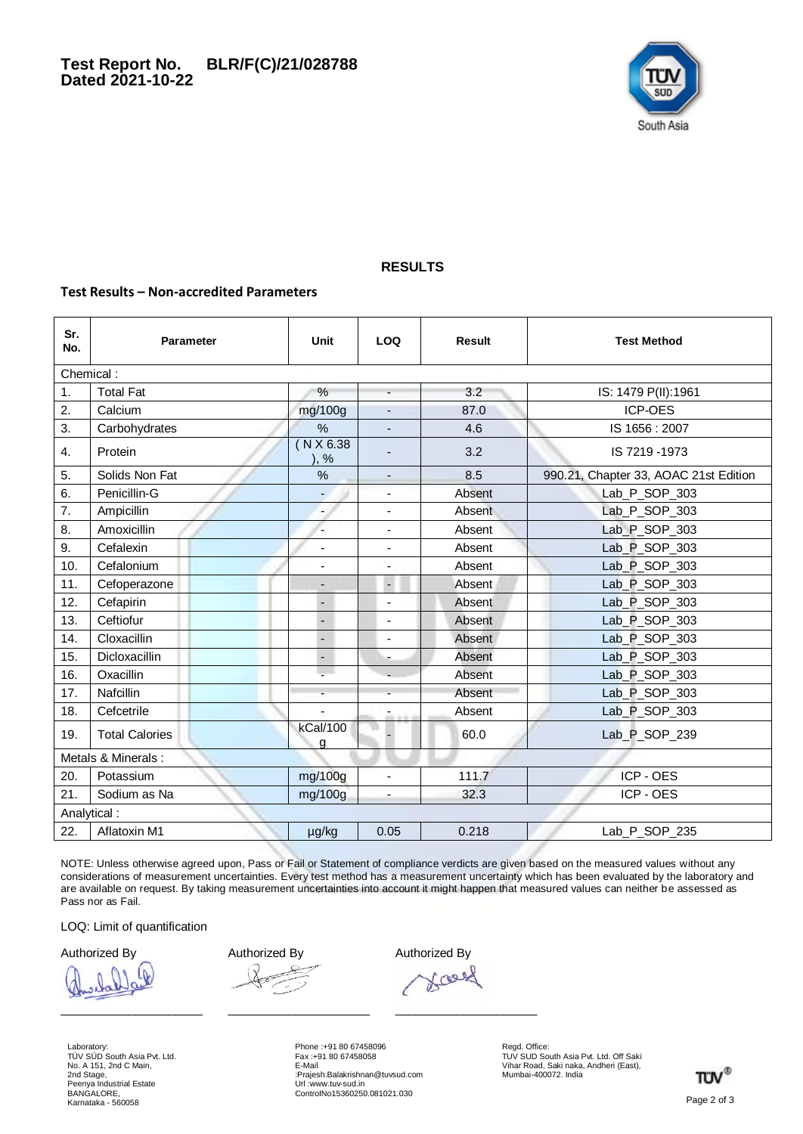

## **RESULTS**

## **Test Results – Non-accredited Parameters**

| Sr.<br>No.         | <b>Parameter</b>      | Unit               | <b>LOQ</b>               | <b>Result</b> | <b>Test Method</b>                    |  |  |
|--------------------|-----------------------|--------------------|--------------------------|---------------|---------------------------------------|--|--|
| Chemical:          |                       |                    |                          |               |                                       |  |  |
| 1.                 | <b>Total Fat</b>      | $\%$               |                          | 3.2           | IS: 1479 P(II):1961                   |  |  |
| 2.                 | Calcium               | mg/100g            | $\overline{\phantom{a}}$ | 87.0          | <b>ICP-OES</b>                        |  |  |
| 3.                 | Carbohydrates         | $\frac{0}{0}$      |                          | 4.6           | IS 1656: 2007                         |  |  |
| 4.                 | Protein               | (N X 6.38)<br>), % |                          | 3.2           | IS 7219 - 1973                        |  |  |
| 5.                 | Solids Non Fat        | $\frac{9}{6}$      | $\overline{\phantom{a}}$ | 8.5           | 990.21, Chapter 33, AOAC 21st Edition |  |  |
| 6.                 | Penicillin-G          | ٠.                 | $\overline{\phantom{a}}$ | Absent        | Lab_P_SOP_303                         |  |  |
| 7.                 | Ampicillin            |                    | $\blacksquare$           | Absent        | Lab_P_SOP_303                         |  |  |
| 8.                 | Amoxicillin           |                    | $\overline{\phantom{a}}$ | Absent        | Lab_P_SOP_303                         |  |  |
| 9.                 | Cefalexin             |                    | $\blacksquare$           | Absent        | Lab_P_SOP_303                         |  |  |
| 10.                | Cefalonium            |                    | ٠                        | Absent        | Lab_P_SOP_303                         |  |  |
| 11.                | Cefoperazone          |                    | $\blacksquare$           | Absent        | Lab_P_SOP_303                         |  |  |
| 12.                | Cefapirin             |                    | $\blacksquare$           | Absent        | Lab_P_SOP_303                         |  |  |
| 13.                | Ceftiofur             |                    | $\blacksquare$           | Absent        | Lab_P_SOP_303                         |  |  |
| 14.                | Cloxacillin           |                    | $\blacksquare$           | Absent        | Lab_P_SOP_303                         |  |  |
| 15.                | Dicloxacillin         |                    |                          | Absent        | Lab_P_SOP_303                         |  |  |
| 16.                | Oxacillin             |                    |                          | Absent        | Lab_P_SOP_303                         |  |  |
| 17.                | Nafcillin             |                    |                          | Absent        | Lab_P_SOP_303                         |  |  |
| 18.                | Cefcetrile            |                    | $\overline{\phantom{0}}$ | Absent        | Lab_P_SOP_303                         |  |  |
| 19.                | <b>Total Calories</b> | kCal/100<br>a      |                          | 60.0          | Lab_P_SOP_239                         |  |  |
| Metals & Minerals: |                       |                    |                          |               |                                       |  |  |
| 20.                | Potassium             | mg/100g            | ä,                       | 111.7         | ICP - OES                             |  |  |
| 21.                | Sodium as Na          | mg/100g            | $\overline{\phantom{a}}$ | 32.3          | ICP - OES                             |  |  |
| Analytical:        |                       |                    |                          |               |                                       |  |  |
| 22.                | Aflatoxin M1          | µg/kg              | 0.05                     | 0.218         | Lab_P_SOP_235                         |  |  |

NOTE: Unless otherwise agreed upon, Pass or Fail or Statement of compliance verdicts are given based on the measured values without any considerations of measurement uncertainties. Every test method has a measurement uncertainty which has been evaluated by the laboratory and are available on request. By taking measurement uncertainties into account it might happen that measured values can neither be assessed as Pass nor as Fail.

LOQ: Limit of quantification

\_\_\_\_\_\_\_\_\_\_\_\_\_\_\_\_\_\_\_\_\_

Authorized By

Laboratory: TÜV SÜD South Asia Pvt. Ltd. No. A 151, 2nd C Main, 2nd Stage, Peenya Industrial Estate BANGALORE, Karnataka - 560058



\_\_\_\_\_\_\_\_\_\_\_\_\_\_\_\_\_\_\_\_\_

Authorized By  $\_$ 

Phone :+91 80 67458096 Fax :+91 80 67458058 E-Mail :Prajesh.Balakrishnan@tuvsud.com Url :www.tuv-sud.in ControlNo15360250.081021.030

Regd. Office: TUV SUD South Asia Pvt. Ltd. Off Saki Vihar Road, Saki naka, Andheri (East), Mumbai-400072. India